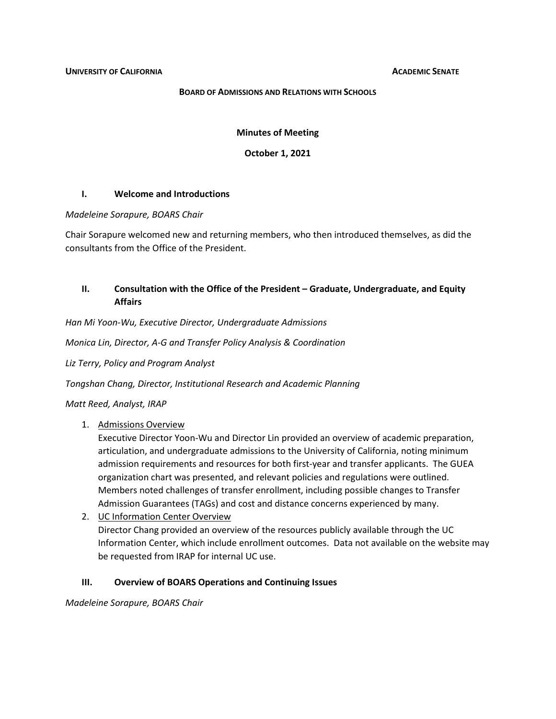#### **BOARD OF ADMISSIONS AND RELATIONS WITH SCHOOLS**

**Minutes of Meeting**

**October 1, 2021**

#### **I. Welcome and Introductions**

#### *Madeleine Sorapure, BOARS Chair*

Chair Sorapure welcomed new and returning members, who then introduced themselves, as did the consultants from the Office of the President.

# **II. Consultation with the Office of the President – Graduate, Undergraduate, and Equity Affairs**

*Han Mi Yoon-Wu, Executive Director, Undergraduate Admissions*

*Monica Lin, Director, A-G and Transfer Policy Analysis & Coordination*

*Liz Terry, Policy and Program Analyst*

*Tongshan Chang, Director, Institutional Research and Academic Planning*

*Matt Reed, Analyst, IRAP*

## 1. Admissions Overview

Executive Director Yoon-Wu and Director Lin provided an overview of academic preparation, articulation, and undergraduate admissions to the University of California, noting minimum admission requirements and resources for both first-year and transfer applicants. The GUEA organization chart was presented, and relevant policies and regulations were outlined. Members noted challenges of transfer enrollment, including possible changes to Transfer Admission Guarantees (TAGs) and cost and distance concerns experienced by many.

2. UC Information Center Overview Director Chang provided an overview of the resources publicly available through the UC Information Center, which include enrollment outcomes. Data not available on the website may be requested from IRAP for internal UC use.

## **III. Overview of BOARS Operations and Continuing Issues**

*Madeleine Sorapure, BOARS Chair*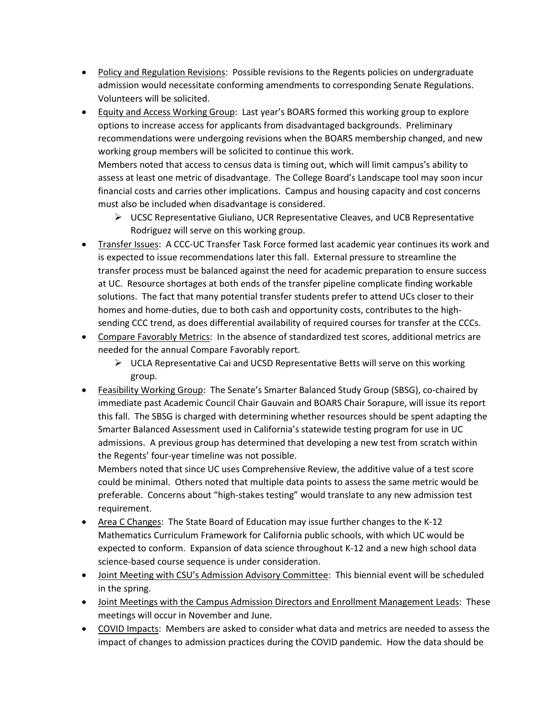- Policy and Regulation Revisions: Possible revisions to the Regents policies on undergraduate admission would necessitate conforming amendments to corresponding Senate Regulations. Volunteers will be solicited.
- Equity and Access Working Group: Last year's BOARS formed this working group to explore options to increase access for applicants from disadvantaged backgrounds. Preliminary recommendations were undergoing revisions when the BOARS membership changed, and new working group members will be solicited to continue this work. Members noted that access to census data is timing out, which will limit campus's ability to

assess at least one metric of disadvantage. The College Board's Landscape tool may soon incur financial costs and carries other implications. Campus and housing capacity and cost concerns must also be included when disadvantage is considered.

- $\triangleright$  UCSC Representative Giuliano, UCR Representative Cleaves, and UCB Representative Rodriguez will serve on this working group.
- Transfer Issues: A CCC-UC Transfer Task Force formed last academic year continues its work and is expected to issue recommendations later this fall. External pressure to streamline the transfer process must be balanced against the need for academic preparation to ensure success at UC. Resource shortages at both ends of the transfer pipeline complicate finding workable solutions. The fact that many potential transfer students prefer to attend UCs closer to their homes and home-duties, due to both cash and opportunity costs, contributes to the highsending CCC trend, as does differential availability of required courses for transfer at the CCCs.
- Compare Favorably Metrics: In the absence of standardized test scores, additional metrics are needed for the annual Compare Favorably report.
	- $\triangleright$  UCLA Representative Cai and UCSD Representative Betts will serve on this working group.
- Feasibility Working Group: The Senate's Smarter Balanced Study Group (SBSG), co-chaired by immediate past Academic Council Chair Gauvain and BOARS Chair Sorapure, will issue its report this fall. The SBSG is charged with determining whether resources should be spent adapting the Smarter Balanced Assessment used in California's statewide testing program for use in UC admissions. A previous group has determined that developing a new test from scratch within the Regents' four-year timeline was not possible.

Members noted that since UC uses Comprehensive Review, the additive value of a test score could be minimal. Others noted that multiple data points to assess the same metric would be preferable. Concerns about "high-stakes testing" would translate to any new admission test requirement.

- Area C Changes: The State Board of Education may issue further changes to the K-12 Mathematics Curriculum Framework for California public schools, with which UC would be expected to conform. Expansion of data science throughout K-12 and a new high school data science-based course sequence is under consideration.
- Joint Meeting with CSU's Admission Advisory Committee: This biennial event will be scheduled in the spring.
- Joint Meetings with the Campus Admission Directors and Enrollment Management Leads: These meetings will occur in November and June.
- COVID Impacts: Members are asked to consider what data and metrics are needed to assess the impact of changes to admission practices during the COVID pandemic. How the data should be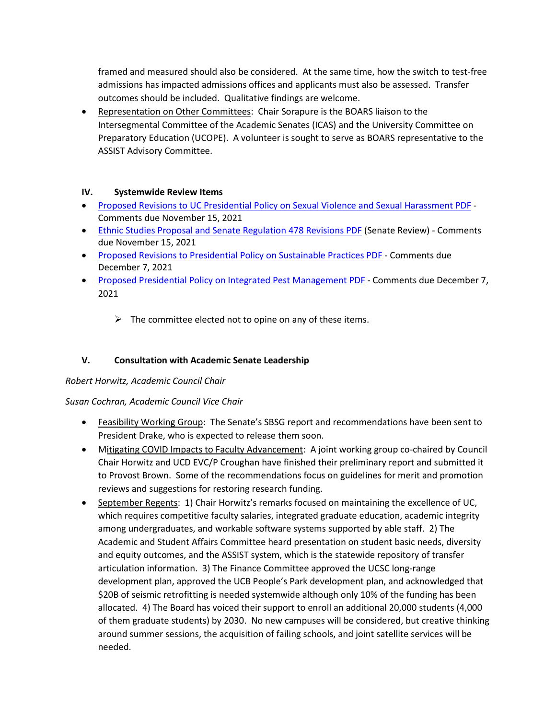framed and measured should also be considered. At the same time, how the switch to test-free admissions has impacted admissions offices and applicants must also be assessed. Transfer outcomes should be included. Qualitative findings are welcome.

• Representation on Other Committees: Chair Sorapure is the BOARS liaison to the Intersegmental Committee of the Academic Senates (ICAS) and the University Committee on Preparatory Education (UCOPE). A volunteer is sought to serve as BOARS representative to the ASSIST Advisory Committee.

# **IV. Systemwide Review Items**

- [Proposed Revisions to UC Presidential Policy on Sexual Violence and Sexual Harassment PDF](https://senate.universityofcalifornia.edu/_files/underreview/svsh-policy-2021-review.pdf) Comments due November 15, 2021
- [Ethnic Studies Proposal and Senate Regulation 478 Revisions PDF](https://senate.universityofcalifornia.edu/_files/underreview/igetc-ethnic-studies-revision.pdf) (Senate Review) Comments due November 15, 2021
- [Proposed Revisions to Presidential Policy on Sustainable Practices PDF](https://senate.universityofcalifornia.edu/_files/underreview/policy-on-sustainable-practices-rev-2021.pdf) Comments due December 7, 2021
- [Proposed Presidential Policy on Integrated Pest Management PDF](https://senate.universityofcalifornia.edu/_files/underreview/integrated-pest-management.pdf) Comments due December 7, 2021
	- $\triangleright$  The committee elected not to opine on any of these items.

# **V. Consultation with Academic Senate Leadership**

# *Robert Horwitz, Academic Council Chair*

# *Susan Cochran, Academic Council Vice Chair*

- Feasibility Working Group: The Senate's SBSG report and recommendations have been sent to President Drake, who is expected to release them soon.
- Mitigating COVID Impacts to Faculty Advancement: A joint working group co-chaired by Council Chair Horwitz and UCD EVC/P Croughan have finished their preliminary report and submitted it to Provost Brown. Some of the recommendations focus on guidelines for merit and promotion reviews and suggestions for restoring research funding.
- September Regents: 1) Chair Horwitz's remarks focused on maintaining the excellence of UC, which requires competitive faculty salaries, integrated graduate education, academic integrity among undergraduates, and workable software systems supported by able staff. 2) The Academic and Student Affairs Committee heard presentation on student basic needs, diversity and equity outcomes, and the ASSIST system, which is the statewide repository of transfer articulation information. 3) The Finance Committee approved the UCSC long-range development plan, approved the UCB People's Park development plan, and acknowledged that \$20B of seismic retrofitting is needed systemwide although only 10% of the funding has been allocated. 4) The Board has voiced their support to enroll an additional 20,000 students (4,000 of them graduate students) by 2030. No new campuses will be considered, but creative thinking around summer sessions, the acquisition of failing schools, and joint satellite services will be needed.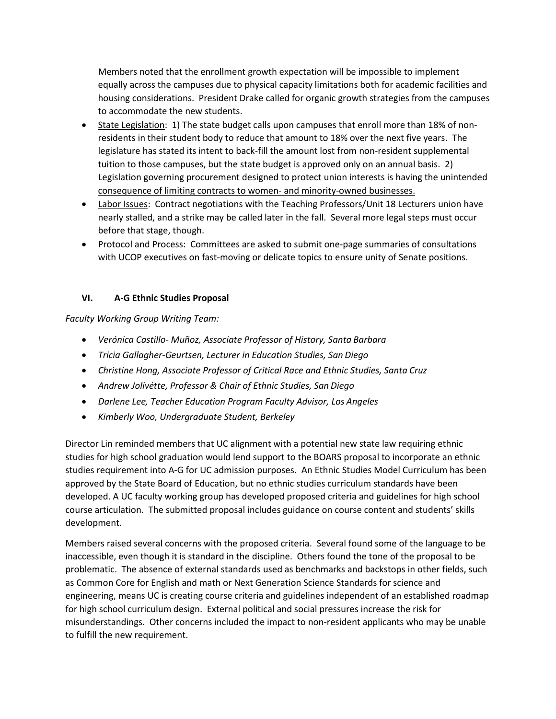Members noted that the enrollment growth expectation will be impossible to implement equally across the campuses due to physical capacity limitations both for academic facilities and housing considerations. President Drake called for organic growth strategies from the campuses to accommodate the new students.

- State Legislation: 1) The state budget calls upon campuses that enroll more than 18% of nonresidents in their student body to reduce that amount to 18% over the next five years. The legislature has stated its intent to back-fill the amount lost from non-resident supplemental tuition to those campuses, but the state budget is approved only on an annual basis. 2) Legislation governing procurement designed to protect union interests is having the unintended consequence of limiting contracts to women- and minority-owned businesses.
- Labor Issues: Contract negotiations with the Teaching Professors/Unit 18 Lecturers union have nearly stalled, and a strike may be called later in the fall. Several more legal steps must occur before that stage, though.
- Protocol and Process: Committees are asked to submit one-page summaries of consultations with UCOP executives on fast-moving or delicate topics to ensure unity of Senate positions.

# **VI. A-G Ethnic Studies Proposal**

*Faculty Working Group Writing Team:*

- *Verónica Castillo- Muñoz, Associate Professor of History, Santa Barbara*
- *Tricia Gallagher-Geurtsen, Lecturer in Education Studies, San Diego*
- *Christine Hong, Associate Professor of Critical Race and Ethnic Studies, Santa Cruz*
- *Andrew Jolivétte, Professor & Chair of Ethnic Studies, San Diego*
- *Darlene Lee, Teacher Education Program Faculty Advisor, Los Angeles*
- *Kimberly Woo, Undergraduate Student, Berkeley*

Director Lin reminded members that UC alignment with a potential new state law requiring ethnic studies for high school graduation would lend support to the BOARS proposal to incorporate an ethnic studies requirement into A-G for UC admission purposes. An Ethnic Studies Model Curriculum has been approved by the State Board of Education, but no ethnic studies curriculum standards have been developed. A UC faculty working group has developed proposed criteria and guidelines for high school course articulation. The submitted proposal includes guidance on course content and students' skills development.

Members raised several concerns with the proposed criteria. Several found some of the language to be inaccessible, even though it is standard in the discipline. Others found the tone of the proposal to be problematic. The absence of external standards used as benchmarks and backstops in other fields, such as Common Core for English and math or Next Generation Science Standards for science and engineering, means UC is creating course criteria and guidelines independent of an established roadmap for high school curriculum design. External political and social pressures increase the risk for misunderstandings. Other concerns included the impact to non-resident applicants who may be unable to fulfill the new requirement.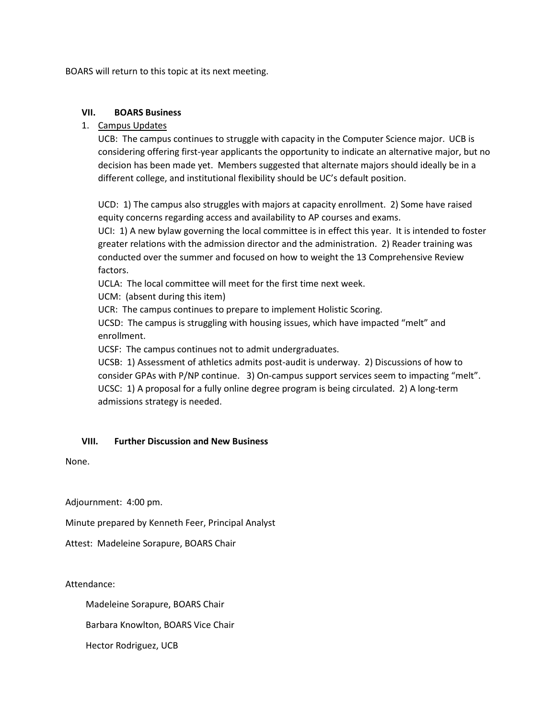BOARS will return to this topic at its next meeting.

## **VII. BOARS Business**

## 1. Campus Updates

UCB: The campus continues to struggle with capacity in the Computer Science major. UCB is considering offering first-year applicants the opportunity to indicate an alternative major, but no decision has been made yet. Members suggested that alternate majors should ideally be in a different college, and institutional flexibility should be UC's default position.

UCD: 1) The campus also struggles with majors at capacity enrollment. 2) Some have raised equity concerns regarding access and availability to AP courses and exams.

UCI: 1) A new bylaw governing the local committee is in effect this year. It is intended to foster greater relations with the admission director and the administration. 2) Reader training was conducted over the summer and focused on how to weight the 13 Comprehensive Review factors.

UCLA: The local committee will meet for the first time next week.

UCM: (absent during this item)

UCR: The campus continues to prepare to implement Holistic Scoring.

UCSD: The campus is struggling with housing issues, which have impacted "melt" and enrollment.

UCSF: The campus continues not to admit undergraduates.

UCSB: 1) Assessment of athletics admits post-audit is underway. 2) Discussions of how to consider GPAs with P/NP continue. 3) On-campus support services seem to impacting "melt". UCSC: 1) A proposal for a fully online degree program is being circulated. 2) A long-term admissions strategy is needed.

## **VIII. Further Discussion and New Business**

None.

Adjournment: 4:00 pm.

Minute prepared by Kenneth Feer, Principal Analyst

Attest: Madeleine Sorapure, BOARS Chair

Attendance:

Madeleine Sorapure, BOARS Chair

Barbara Knowlton, BOARS Vice Chair

Hector Rodriguez, UCB